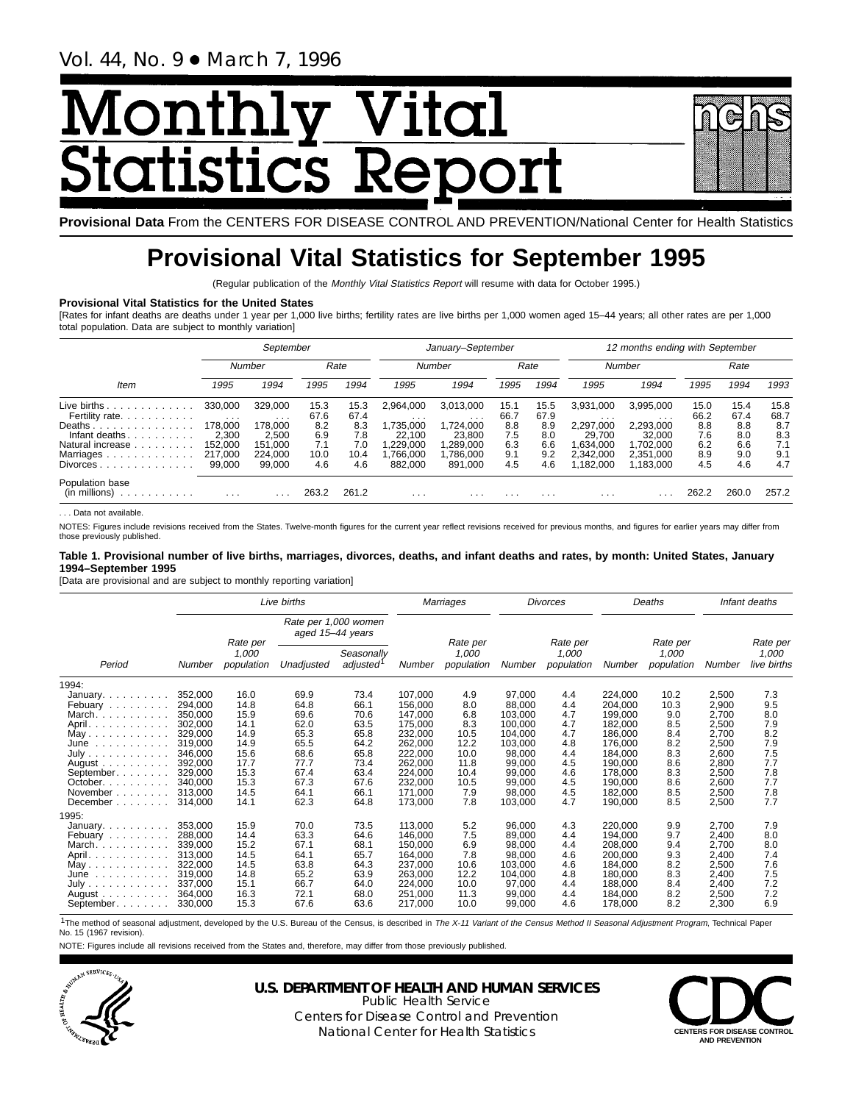# <u> Monthly Vital<br>;tatistics Report</u> <u>Monthli</u>

**Provisional Data** From the CENTERS FOR DISEASE CONTROL AND PREVENTION/National Center for Health Statistics

# **Provisional Vital Statistics for September 1995**

(Regular publication of the Monthly Vital Statistics Report will resume with data for October 1995.)

### **Provisional Vital Statistics for the United States**

[Rates for infant deaths are deaths under 1 year per 1,000 live births; fertility rates are live births per 1,000 women aged 15–44 years; all other rates are per 1,000 total population. Data are subject to monthly variation]

|                                                              | September               |                     |              |              | January-September       |                      |              |              | 12 months ending with September |                        |              |              |              |  |
|--------------------------------------------------------------|-------------------------|---------------------|--------------|--------------|-------------------------|----------------------|--------------|--------------|---------------------------------|------------------------|--------------|--------------|--------------|--|
|                                                              | Number                  |                     | Rate         |              | Number                  |                      | Rate         |              | Number                          |                        | Rate         |              |              |  |
| Item                                                         | 1995                    | 1994                | 1995         | 1994         | 1995                    | 1994                 | 1995         | 1994         | 1995                            | 1994                   | 1995         | 1994         | 1993         |  |
| Live births.<br>.<br>Fertility rate.                         | 330,000                 | 329.000             | 15.3<br>67.6 | 15.3<br>67.4 | 2.964.000               | 3,013,000            | 15.1<br>66.7 | 15.5<br>67.9 | 3,931,000                       | 3,995,000<br>$\cdots$  | 15.0<br>66.2 | 15.4<br>67.4 | 15.8<br>68.7 |  |
| Deaths                                                       | $\cdots$<br>178.000     | $\cdots$<br>178.000 | 8.2          | 8.3          | .<br>1.735.000          | $\cdots$<br>,724,000 | 8.8          | 8.9          | .<br>2.297.000                  | 2,293,000              | 8.8          | 8.8          | 8.7          |  |
| Infant deaths<br>.<br>Natural increase                       | 2.300<br>152.000        | 2.500<br>151.000    | 6.9<br>7.1   | 7.8<br>7.0   | 22.100<br>.229.000      | 23.800<br>,289,000   | 7.5<br>6.3   | 8.0<br>6.6   | 29.700<br>.634,000              | 32.000<br>1.702.000    | 7.6<br>6.2   | 8.0<br>6.6   | 8.3<br>7.1   |  |
| Marriages<br>and a series of the series of<br>Divorces.<br>. | 217,000<br>99,000       | 224.000<br>99.000   | 10.0<br>4.6  | 10.4<br>4.6  | 1,766,000<br>882.000    | ,786,000<br>891,000  | 9.1<br>4.5   | 9.2<br>4.6   | 2.342.000<br>.182.000           | 2,351,000<br>1,183,000 | 8.9<br>4.5   | 9.0<br>4.6   | 9.1<br>4.7   |  |
|                                                              |                         |                     |              |              |                         |                      |              |              |                                 |                        |              |              |              |  |
| Population base<br>(in millions)                             | $\cdot$ $\cdot$ $\cdot$ |                     | 263.2        | 261.2        | $\cdot$ $\cdot$ $\cdot$ | .                    | .            | .            | .                               |                        |              | 260.0        | 257.2        |  |

. . . Data not available.

NOTES: Figures include revisions received from the States. Twelve-month figures for the current year reflect revisions received for previous months, and figures for earlier years may differ from those previously published.

### **Table 1. Provisional number of live births, marriages, divorces, deaths, and infant deaths and rates, by month: United States, January 1994–September 1995**

[Data are provisional and are subject to monthly reporting variation]

|                                        |                    |                     | Live births                              |                        | Marriages          |                     | <b>Divorces</b>  |                     | Deaths             |                     | Infant deaths  |                      |
|----------------------------------------|--------------------|---------------------|------------------------------------------|------------------------|--------------------|---------------------|------------------|---------------------|--------------------|---------------------|----------------|----------------------|
|                                        |                    | Rate per            | Rate per 1,000 women<br>aged 15-44 years |                        |                    | Rate per            |                  | Rate per            |                    | Rate per            |                | Rate per             |
| Period                                 | Number             | 1,000<br>population | Unadjusted                               | Seasonally<br>adjusted | Number             | 1,000<br>population | Number           | 1,000<br>population | Number             | 1.000<br>population | Number         | 1.000<br>live births |
| 1994:                                  |                    |                     |                                          |                        |                    |                     |                  |                     |                    |                     |                |                      |
| January.                               | 352,000            | 16.0                | 69.9                                     | 73.4                   | 107,000            | 4.9                 | 97,000           | 4.4                 | 224,000            | 10.2                | 2,500          | 7.3                  |
| Febuary                                | 294,000            | 14.8                | 64.8                                     | 66.1                   | 156,000            | 8.0                 | 88,000           | 4.4                 | 204,000            | 10.3                | 2,900          | 9.5                  |
| March.                                 | 350.000            | 15.9                | 69.6                                     | 70.6                   | 147,000            | 6.8                 | 103.000          | 4.7                 | 199,000            | 9.0                 | 2,700          | 8.0                  |
| April.                                 | 302.000            | 14.1                | 62.0                                     | 63.5                   | 175,000            | 8.3                 | 100.000          | 4.7                 | 182,000            | 8.5                 | 2,500          | 7.9                  |
| May.                                   | 329,000            | 14.9                | 65.3                                     | 65.8                   | 232,000            | 10.5                | 104,000          | 4.7                 | 186,000            | 8.4                 | 2,700          | 8.2                  |
| June<br>.                              | 319.000            | 14.9                | 65.5                                     | 64.2                   | 262,000            | 12.2                | 103,000          | 4.8                 | 176,000            | 8.2                 | 2,500          | 7.9                  |
| July                                   | 346,000            | 15.6                | 68.6                                     | 65.8                   | 222,000            | 10.0                | 98,000           | 4.4                 | 184,000            | 8.3                 | 2,600          | 7.5                  |
| August $\ldots$ , $\ldots$ , $\ldots$  | 392.000            | 17.7<br>15.3        | 77.7<br>67.4                             | 73.4<br>63.4           | 262,000            | 11.8                | 99,000           | 4.5<br>4.6          | 190,000<br>178,000 | 8.6<br>8.3          | 2,800<br>2,500 | 7.7<br>7.8           |
| September.<br>October. $\ldots$        | 329,000<br>340.000 | 15.3                | 67.3                                     | 67.6                   | 224,000<br>232,000 | 10.4<br>10.5        | 99,000<br>99,000 | 4.5                 | 190,000            | 8.6                 | 2,600          | 7.7                  |
| November                               | 313.000            | 14.5                | 64.1                                     | 66.1                   | 171,000            | 7.9                 | 98,000           | 4.5                 | 182,000            | 8.5                 | 2,500          | 7.8                  |
| December                               | 314,000            | 14.1                | 62.3                                     | 64.8                   | 173,000            | 7.8                 | 103,000          | 4.7                 | 190,000            | 8.5                 | 2,500          | 7.7                  |
| 1995:                                  |                    |                     |                                          |                        |                    |                     |                  |                     |                    |                     |                |                      |
| January.                               | 353,000            | 15.9                | 70.0                                     | 73.5                   | 113,000            | 5.2                 | 96,000           | 4.3                 | 220,000            | 9.9                 | 2,700          | 7.9                  |
| Febuary                                | 288,000            | 14.4                | 63.3                                     | 64.6                   | 146.000            | 7.5                 | 89,000           | 4.4                 | 194,000            | 9.7                 | 2,400          | 8.0                  |
| March.                                 | 339.000            | 15.2                | 67.1                                     | 68.1                   | 150.000            | 6.9                 | 98,000           | 4.4                 | 208,000            | 9.4                 | 2,700          | 8.0                  |
| April.                                 | 313,000            | 14.5                | 64.1                                     | 65.7                   | 164,000            | 7.8                 | 98,000           | 4.6                 | 200,000            | 9.3                 | 2,400          | 7.4                  |
| May.<br>والمتحاولة والمتحاورة والمناور | 322,000            | 14.5                | 63.8                                     | 64.3                   | 237,000            | 10.6                | 103,000          | 4.6                 | 184,000            | 8.2                 | 2,500          | 7.6                  |
| June<br>.                              | 319.000            | 14.8                | 65.2                                     | 63.9                   | 263,000            | 12.2                | 104.000          | 4.8                 | 180,000            | 8.3                 | 2,400          | 7.5                  |
| July                                   | 337.000            | 15.1                | 66.7                                     | 64.0                   | 224,000            | 10.0                | 97,000           | 4.4                 | 188,000            | 8.4                 | 2,400          | 7.2                  |
| August $\ldots$ , $\ldots$ , $\ldots$  | 364,000            | 16.3                | 72.1                                     | 68.0                   | 251,000            | 11.3                | 99,000           | 4.4                 | 184,000            | 8.2                 | 2,500          | 7.2                  |
| September                              | 330,000            | 15.3                | 67.6                                     | 63.6                   | 217,000            | 10.0                | 99,000           | 4.6                 | 178,000            | 8.2                 | 2,300          | 6.9                  |

<sup>1</sup>The method of seasonal adjustment, developed by the U.S. Bureau of the Census, is described in The X-11 Variant of the Census Method II Seasonal Adjustment Program, Technical Paper No. 15 (1967 revision).

NOTE: Figures include all revisions received from the States and, therefore, may differ from those previously published.



**U.S. DEPARTMENT OF HEALTH AND HUMAN SERVICES**

Public Health Service Centers for Disease Control and Prevention National Center for Health Statistics **CENTERS FOR DISEASE CONTROL**